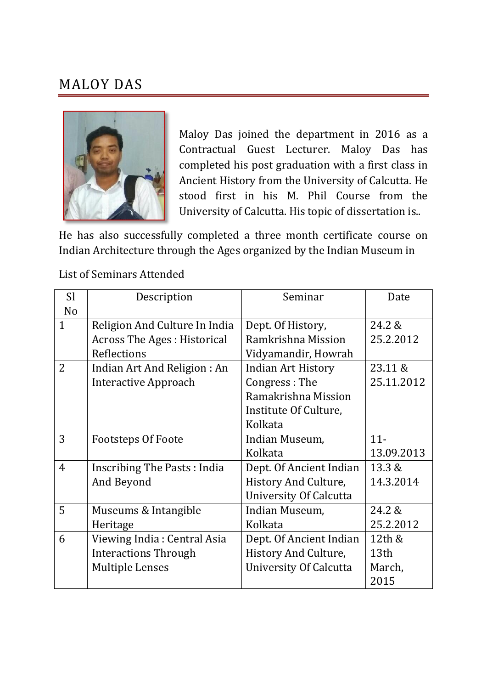## MALOY DAS



Maloy Das joined the department in 2016 as a Contractual Guest Lecturer. Maloy Das has completed his post graduation with a first class in Ancient History from the University of Calcutta. He stood first in his M. Phil Course from the University of Calcutta. His topic of dissertation is..

He has also successfully completed a three month certificate course on Indian Architecture through the Ages organized by the Indian Museum in

## List of Seminars Attended

| <b>SI</b>      | Description                        | Seminar                       | Date       |
|----------------|------------------------------------|-------------------------------|------------|
| N <sub>o</sub> |                                    |                               |            |
| $\mathbf{1}$   | Religion And Culture In India      | Dept. Of History,             | 24.2 &     |
|                | <b>Across The Ages: Historical</b> | Ramkrishna Mission            | 25.2.2012  |
|                | Reflections                        | Vidyamandir, Howrah           |            |
| 2              | Indian Art And Religion: An        | <b>Indian Art History</b>     | 23.11 &    |
|                | Interactive Approach               | Congress: The                 | 25.11.2012 |
|                |                                    | Ramakrishna Mission           |            |
|                |                                    | Institute Of Culture,         |            |
|                |                                    | Kolkata                       |            |
| 3              | <b>Footsteps Of Foote</b>          | Indian Museum,                | $11 -$     |
|                |                                    | Kolkata                       | 13.09.2013 |
| $\overline{4}$ | Inscribing The Pasts: India        | Dept. Of Ancient Indian       | 13.3 &     |
|                | And Beyond                         | History And Culture,          | 14.3.2014  |
|                |                                    | <b>University Of Calcutta</b> |            |
| 5              | Museums & Intangible               | Indian Museum,                | 24.2 &     |
|                | Heritage                           | Kolkata                       | 25.2.2012  |
| 6              | Viewing India: Central Asia        | Dept. Of Ancient Indian       | 12th &     |
|                | <b>Interactions Through</b>        | History And Culture,          | 13th       |
|                | <b>Multiple Lenses</b>             | <b>University Of Calcutta</b> | March,     |
|                |                                    |                               | 2015       |